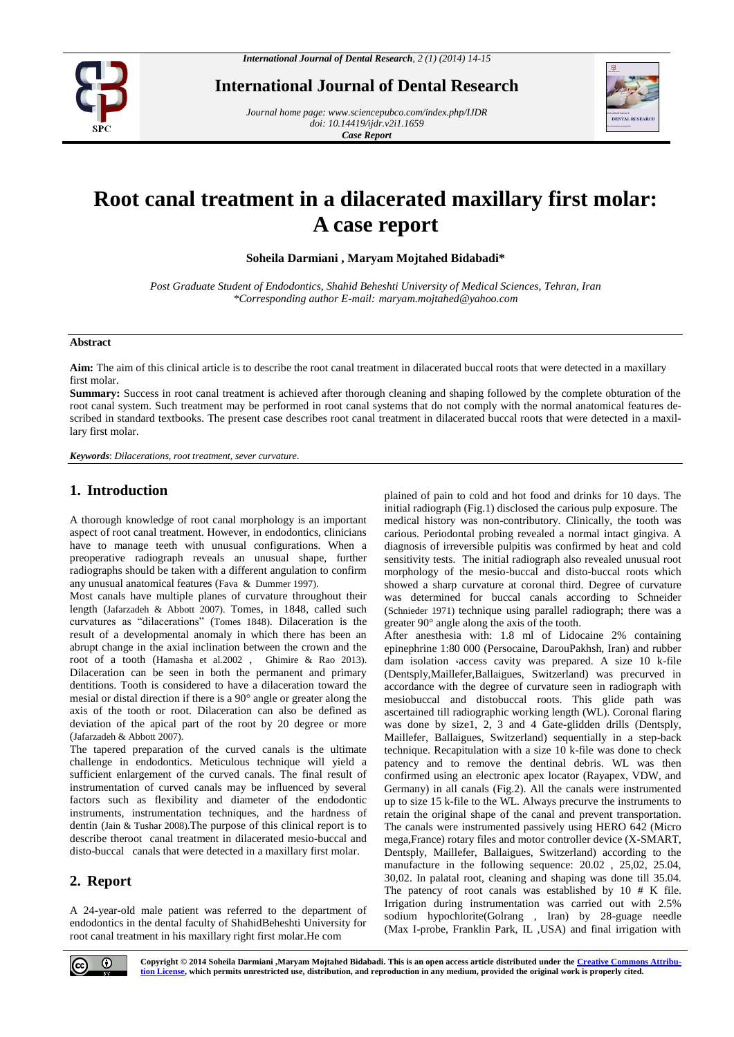

**International Journal of Dental Research**

*Journal home page[: www.sciencepubco.com/index.php/IJDR](http://www.sciencepubco.com/index.php/IJDR) doi: 10.14419/ijdr.v2i1.1659 Case Report* 



# **Root canal treatment in a dilacerated maxillary first molar: A case report**

**Soheila Darmiani , Maryam Mojtahed Bidabadi\*** 

*Post Graduate Student of Endodontics, Shahid Beheshti University of Medical Sciences, Tehran, Iran \*Corresponding author E-mail: maryam.mojtahed@yahoo.com*

#### **Abstract**

**Aim:** The aim of this clinical article is to describe the root canal treatment in dilacerated buccal roots that were detected in a maxillary first molar.

**Summary:** Success in root canal treatment is achieved after thorough cleaning and shaping followed by the complete obturation of the root canal system. Such treatment may be performed in root canal systems that do not comply with the normal anatomical features described in standard textbooks. The present case describes root canal treatment in dilacerated buccal roots that were detected in a maxillary first molar.

*Keywords*: *Dilacerations, root treatment, sever curvature.*

## **1. Introduction**

A thorough knowledge of root canal morphology is an important aspect of root canal treatment. However, in endodontics, clinicians have to manage teeth with unusual configurations. When a preoperative radiograph reveals an unusual shape, further radiographs should be taken with a different angulation to confirm any unusual anatomical features (Fava & Dummer 1997).

Most canals have multiple planes of curvature throughout their length (Jafarzadeh & Abbott 2007). Tomes, in 1848, called such curvatures as "dilacerations" (Tomes 1848). Dilaceration is the result of a developmental anomaly in which there has been an abrupt change in the axial inclination between the crown and the root of a tooth (Hamasha et al.2002 , Ghimire & Rao 2013). Dilaceration can be seen in both the permanent and primary dentitions. Tooth is considered to have a dilaceration toward the mesial or distal direction if there is a 90° angle or greater along the axis of the tooth or root. Dilaceration can also be defined as deviation of the apical part of the root by 20 degree or more (Jafarzadeh & Abbott 2007).

The tapered preparation of the curved canals is the ultimate challenge in endodontics. Meticulous technique will yield a sufficient enlargement of the curved canals. The final result of instrumentation of curved canals may be influenced by several factors such as flexibility and diameter of the endodontic instruments, instrumentation techniques, and the hardness of dentin (Jain & Tushar 2008).The purpose of this clinical report is to describe theroot canal treatment in dilacerated mesio-buccal and disto-buccal canals that were detected in a maxillary first molar.

# **2. Report**

A 24-year-old male patient was referred to the department of endodontics in the dental faculty of ShahidBeheshti University for root canal treatment in his maxillary right first molar.He com

plained of pain to cold and hot food and drinks for 10 days. The initial radiograph (Fig.1) disclosed the carious pulp exposure. The medical history was non-contributory. Clinically, the tooth was carious. Periodontal probing revealed a normal intact gingiva. A diagnosis of irreversible pulpitis was confirmed by heat and cold sensitivity tests. The initial radiograph also revealed unusual root morphology of the mesio-buccal and disto-buccal roots which showed a sharp curvature at coronal third. Degree of curvature was determined for buccal canals according to Schneider (Schnieder 1971) technique using parallel radiograph; there was a greater 90° angle along the axis of the tooth.

After anesthesia with: 1.8 ml of Lidocaine 2% containing epinephrine 1:80 000 (Persocaine, DarouPakhsh, Iran) and rubber dam isolation ،access cavity was prepared. A size 10 k-file (Dentsply,Maillefer,Ballaigues, Switzerland) was precurved in accordance with the degree of curvature seen in radiograph with mesiobuccal and distobuccal roots. This glide path was ascertained till radiographic working length (WL). Coronal flaring was done by size1, 2, 3 and 4 Gate-glidden drills (Dentsply, Maillefer, Ballaigues, Switzerland) sequentially in a step-back technique. Recapitulation with a size 10 k-file was done to check patency and to remove the dentinal debris. WL was then confirmed using an electronic apex locator (Rayapex, VDW, and Germany) in all canals (Fig.2). All the canals were instrumented up to size 15 k-file to the WL. Always precurve the instruments to retain the original shape of the canal and prevent transportation. The canals were instrumented passively using HERO 642 (Micro mega,France) rotary files and motor controller device (X-SMART, Dentsply, Maillefer, Ballaigues, Switzerland) according to the manufacture in the following sequence: 20.02 , 25,02, 25.04, 30,02. In palatal root, cleaning and shaping was done till 35.04. The patency of root canals was established by 10 # K file. Irrigation during instrumentation was carried out with 2.5% sodium hypochlorite(Golrang , Iran) by 28-guage needle (Max I-probe, Franklin Park, IL ,USA) and final irrigation with



**Copyright © 2014 Soheila Darmiani ,Maryam Mojtahed Bidabadi. This is an open access article distributed under the Creative Commons Attribution License, which permits unrestricted use, distribution, and reproduction in any medium, provided the original work is properly cited.**